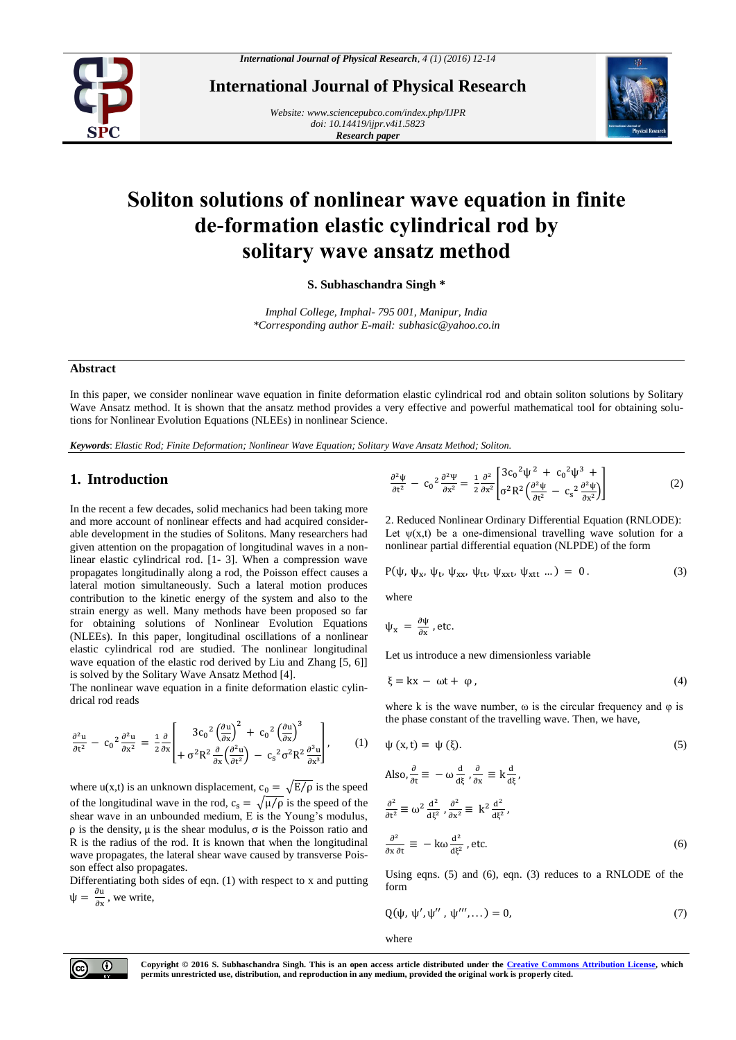

**International Journal of Physical Research**

*Website[: www.sciencepubco.com/index.php/IJPR](http://www.sciencepubco.com/index.php/IJPR) doi: 10.14419/ijpr.v4i1.5823 Research paper*



# **Soliton solutions of nonlinear wave equation in finite de-formation elastic cylindrical rod by solitary wave ansatz method**

**S. Subhaschandra Singh \***

*Imphal College, Imphal- 795 001, Manipur, India \*Corresponding author E-mail: subhasic@yahoo.co.in*

#### **Abstract**

In this paper, we consider nonlinear wave equation in finite deformation elastic cylindrical rod and obtain soliton solutions by Solitary Wave Ansatz method. It is shown that the ansatz method provides a very effective and powerful mathematical tool for obtaining solutions for Nonlinear Evolution Equations (NLEEs) in nonlinear Science.

*Keywords*: *Elastic Rod; Finite Deformation; Nonlinear Wave Equation; Solitary Wave Ansatz Method; Soliton.*

## **1. Introduction**

In the recent a few decades, solid mechanics had been taking more and more account of nonlinear effects and had acquired considerable development in the studies of Solitons. Many researchers had given attention on the propagation of longitudinal waves in a nonlinear elastic cylindrical rod. [1- 3]. When a compression wave propagates longitudinally along a rod, the Poisson effect causes a lateral motion simultaneously. Such a lateral motion produces contribution to the kinetic energy of the system and also to the strain energy as well. Many methods have been proposed so far for obtaining solutions of Nonlinear Evolution Equations (NLEEs). In this paper, longitudinal oscillations of a nonlinear elastic cylindrical rod are studied. The nonlinear longitudinal wave equation of the elastic rod derived by Liu and Zhang [5, 6]] is solved by the Solitary Wave Ansatz Method [4].

The nonlinear wave equation in a finite deformation elastic cylindrical rod reads

$$
\frac{\partial^2 u}{\partial t^2} - c_0^2 \frac{\partial^2 u}{\partial x^2} = \frac{1}{2} \frac{\partial}{\partial x} \left[ \frac{3c_0^2 \left( \frac{\partial u}{\partial x} \right)^2 + c_0^2 \left( \frac{\partial u}{\partial x} \right)^3}{+ \sigma^2 R^2 \frac{\partial}{\partial x} \left( \frac{\partial^2 u}{\partial t^2} \right) - c_s^2 \sigma^2 R^2 \frac{\partial^3 u}{\partial x^3} \right], \quad (1)
$$

where u(x,t) is an unknown displacement,  $c_0 = \sqrt{E/\rho}$  is the speed of the longitudinal wave in the rod,  $c_s = \sqrt{\mu/\rho}$  is the speed of the shear wave in an unbounded medium, E is the Young's modulus, ρ is the density, μ is the shear modulus, σ is the Poisson ratio and R is the radius of the rod. It is known that when the longitudinal wave propagates, the lateral shear wave caused by transverse Poisson effect also propagates.

Differentiating both sides of eqn. (1) with respect to x and putting  $\Psi = \frac{\partial u}{\partial x}$  $\frac{\partial u}{\partial x}$ , we write,

$$
\frac{\partial^2 \psi}{\partial t^2} - c_0^2 \frac{\partial^2 \psi}{\partial x^2} = \frac{1}{2} \frac{\partial^2}{\partial x^2} \left[ \frac{3c_0^2 \psi^2 + c_0^2 \psi^3 + \sigma^2 \psi}{\sigma^2 R^2 \left( \frac{\partial^2 \psi}{\partial t^2} - c_s^2 \frac{\partial^2 \psi}{\partial x^2} \right)} \right]
$$
(2)

2. Reduced Nonlinear Ordinary Differential Equation (RNLODE): Let  $\psi(x,t)$  be a one-dimensional travelling wave solution for a nonlinear partial differential equation (NLPDE) of the form

$$
P(\psi, \psi_x, \psi_t, \psi_{xx}, \psi_{tt}, \psi_{xxt}, \psi_{xtt} ...)=0.
$$
 (3)

where

$$
\psi_{x} = \frac{\partial \psi}{\partial x}
$$
, etc.

Let us introduce a new dimensionless variable

$$
\xi = kx - \omega t + \varphi, \tag{4}
$$

where k is the wave number,  $\omega$  is the circular frequency and  $\varphi$  is the phase constant of the travelling wave. Then, we have,

$$
\psi(x, t) = \psi(\xi).
$$
\n(5)  
\nAlso,  $\frac{\partial}{\partial t} = -\omega \frac{d}{d\xi}, \frac{\partial}{\partial x} = k \frac{d}{d\xi},$   
\n
$$
\frac{\partial^2}{\partial t^2} = \omega^2 \frac{d^2}{d\xi^2}, \frac{\partial^2}{\partial x^2} = k^2 \frac{d^2}{d\xi^2},
$$
  
\n
$$
\frac{\partial^2}{\partial x \partial t} = -k\omega \frac{d^2}{d\xi^2}, \text{etc.}
$$
 (6)

Using eqns. (5) and (6), eqn. (3) reduces to a RNLODE of the form

$$
Q(\psi, \psi', \psi'', \psi''', \dots) = 0,\tag{7}
$$

where



**Copyright © 2016 S. Subhaschandra Singh. This is an open access article distributed under the [Creative Commons Attribution License,](http://creativecommons.org/licenses/by/3.0/) which permits unrestricted use, distribution, and reproduction in any medium, provided the original work is properly cited.**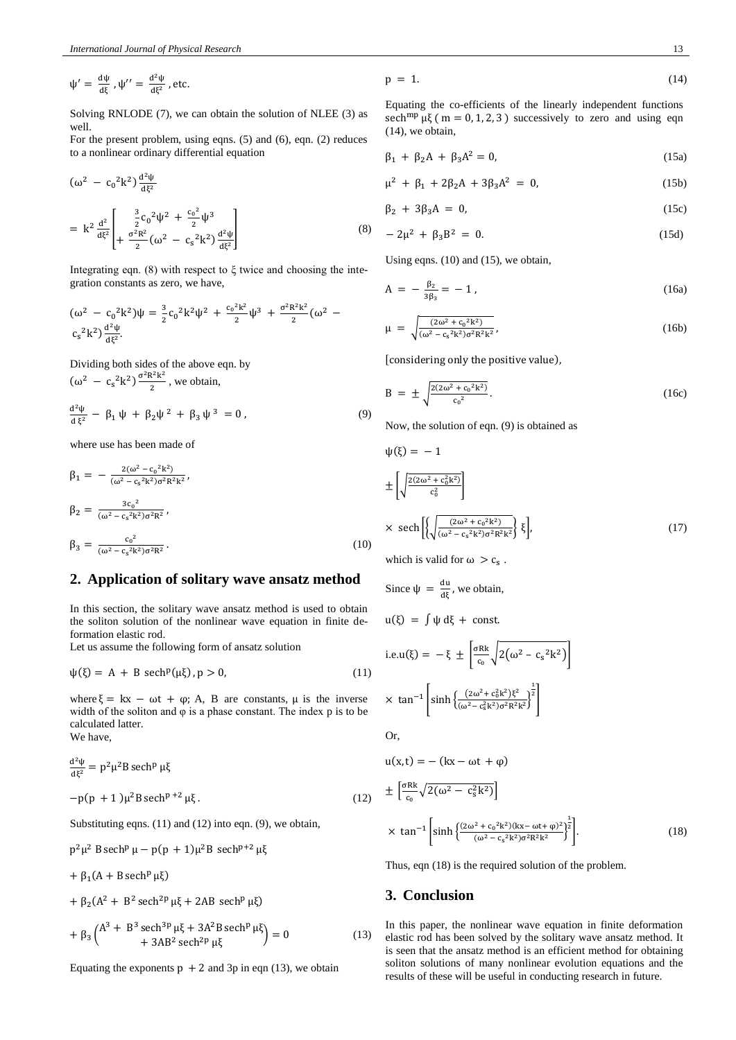$$
\psi' = \frac{d\psi}{d\xi}, \psi'' = \frac{d^2\psi}{d\xi^2}
$$
, etc.

Solving RNLODE (7), we can obtain the solution of NLEE (3) as well.

For the present problem, using eqns. (5) and (6), eqn. (2) reduces to a nonlinear ordinary differential equation

$$
(\omega^2 - c_0^2 k^2) \frac{d^2 \psi}{d\xi^2}
$$
  
=  $k^2 \frac{d^2}{d\xi^2} \left[ \frac{\frac{3}{2} c_0^2 \psi^2 + \frac{c_0^2}{2} \psi^3}{\frac{\phi^2 R^2}{2} (\omega^2 - c_s^2 k^2) \frac{d^2 \psi}{d\xi^2}} \right]$  (8)

Integrating eqn. (8) with respect to  $\xi$  twice and choosing the integration constants as zero, we have,

$$
(\omega^2 - c_0^2 k^2) \psi = \frac{3}{2} c_0^2 k^2 \psi^2 + \frac{c_0^2 k^2}{2} \psi^3 + \frac{\sigma^2 R^2 k^2}{2} (\omega^2 - c_s^2 k^2) \frac{d^2 \psi}{d\xi^2}.
$$

Dividing both sides of the above eqn. by  $(\omega^2 - c_s^2 k^2) \frac{\sigma^2 R^2 k^2}{r^2}$  $\frac{\pi}{2}$ , we obtain, d <sup>2</sup>ψ  $\frac{d \Psi}{d \xi^2} - \beta_1 \psi + \beta_2 \psi^2 + \beta_3 \psi^3 = 0$ , (9)

where use has been made of

$$
\beta_1 = -\frac{2(\omega^2 - c_0^2 k^2)}{(\omega^2 - c_s^2 k^2) \sigma^2 R^2 k^2},
$$
  
\n
$$
\beta_2 = \frac{3c_0^2}{(\omega^2 - c_s^2 k^2) \sigma^2 R^2},
$$
  
\n
$$
\beta_3 = \frac{c_0^2}{(\omega^2 - c_s^2 k^2) \sigma^2 R^2}.
$$
\n(10)

#### **2. Application of solitary wave ansatz method**

In this section, the solitary wave ansatz method is used to obtain the soliton solution of the nonlinear wave equation in finite deformation elastic rod.

Let us assume the following form of ansatz solution

$$
\psi(\xi) = A + B \operatorname{sech}^p(\mu\xi), p > 0,
$$
\n(11)

where  $\xi = kx - \omega t + \varphi$ ; A, B are constants,  $\mu$  is the inverse width of the soliton and  $\varphi$  is a phase constant. The index p is to be calculated latter. We have,

d <sup>2</sup>ψ  $\frac{d^2\Psi}{d\xi^2} = p^2\mu^2B$  sech<sup>p</sup> μξ  $-p(p + 1)\mu^2 B \operatorname{sech}^{p+2} \mu \xi$ . (12)

Substituting eqns. (11) and (12) into eqn. (9), we obtain,

$$
p^2\mu^2 B \operatorname{sech}^p \mu - p(p+1)\mu^2 B \operatorname{sech}^{p+2} \mu \xi
$$

$$
+\beta_1(A+B\,sech^p\,\mu\xi)
$$

+ 
$$
\beta_2 (A^2 + B^2 \operatorname{sech}^{2p} \mu \xi + 2AB \operatorname{sech}^p \mu \xi)
$$
  
+  $\beta_3 \begin{pmatrix} A^3 + B^3 \operatorname{sech}^{3p} \mu \xi + 3A^2B \operatorname{sech}^p \mu \xi \\ + 3AB^2 \operatorname{sech}^{2p} \mu \xi \end{pmatrix} = 0$  (13)

Equating the exponents  $p + 2$  and 3p in eqn (13), we obtain

$$
p = 1. \tag{14}
$$

Equating the co-efficients of the linearly independent functions sech<sup>mp</sup>  $\mu\xi$  ( m = 0, 1, 2, 3) successively to zero and using eqn (14), we obtain,

$$
\beta_1 + \beta_2 A + \beta_3 A^2 = 0, \tag{15a}
$$

$$
\mu^2 + \beta_1 + 2\beta_2 A + 3\beta_3 A^2 = 0, \qquad (15b)
$$

$$
\beta_2 + 3\beta_3 A = 0, \qquad (15c)
$$

$$
-2\mu^2 + \beta_3 B^2 = 0. \tag{15d}
$$

Using eqns. (10) and (15), we obtain,

$$
A = -\frac{\beta_2}{3\beta_3} = -1,
$$
 (16a)

$$
\mu = \sqrt{\frac{(2\omega^2 + c_0^2 k^2)}{(\omega^2 - c_s^2 k^2) \sigma^2 R^2 k^2}},\tag{16b}
$$

[considering only the positive value),

$$
B = \pm \sqrt{\frac{2(2\omega^2 + c_0^2 k^2)}{c_0^2}}.
$$
 (16c)

Now, the solution of eqn. (9) is obtained as

$$
\psi(\xi) = -1
$$
\n
$$
\pm \left[ \sqrt{\frac{2(2\omega^2 + c_0^2 k^2)}{c_0^2}} \right]
$$
\n
$$
\times \text{ sech} \left[ \left\{ \sqrt{\frac{(2\omega^2 + c_0^2 k^2)}{(\omega^2 - c_s^2 k^2) \sigma^2 R^2 k^2}} \right\} \xi \right],
$$
\n(17)

which is valid for  $\omega > c_s$ .

Since 
$$
\psi = \frac{du}{d\xi}
$$
, we obtain,

$$
u(\xi) = \int \psi \, d\xi + \text{const.}
$$

i.e.u(
$$
\xi
$$
) =  $-\xi \pm \left[ \frac{\sigma R k}{c_0} \sqrt{2(\omega^2 - c_s^2 k^2)} \right]$   
  $\times \tan^{-1} \left[ \sinh \left\{ \frac{(2\omega^2 + c_0^2 k^2)\xi^2}{(\omega^2 - c_s^2 k^2)\sigma^2 R^2 k^2} \right\}^{\frac{1}{2}} \right]$ 

Or,

$$
u(x,t) = - (kx - \omega t + \varphi)
$$
  
\n
$$
\pm \left[ \frac{\sigma Rk}{c_0} \sqrt{2(\omega^2 - c_s^2 k^2)} \right]
$$
  
\n
$$
\times \tan^{-1} \left[ \sinh \left\{ \frac{(2\omega^2 + c_0^2 k^2)(kx - \omega t + \varphi)^2}{(\omega^2 - c_s^2 k^2) \sigma^2 R^2 k^2} \right\}^{\frac{1}{2}} \right].
$$
 (18)

Thus, eqn (18) is the required solution of the problem.

### **3. Conclusion**

In this paper, the nonlinear wave equation in finite deformation elastic rod has been solved by the solitary wave ansatz method. It is seen that the ansatz method is an efficient method for obtaining soliton solutions of many nonlinear evolution equations and the results of these will be useful in conducting research in future.